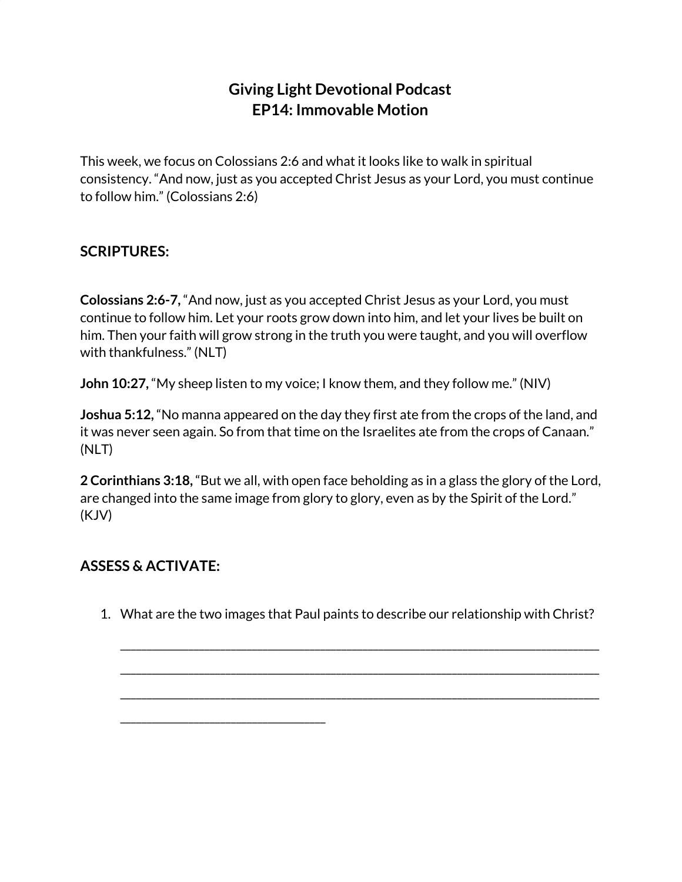## **Giving Light Devotional Podcast EP14: Immovable Motion**

This week, we focus on Colossians 2:6 and what it looks like to walk in spiritual consistency. "And now, just as you accepted Christ Jesus as your Lord, you must continue to follow him." (Colossians 2:6)

## **SCRIPTURES:**

**Colossians 2:6-7,** "And now, just as you accepted Christ Jesus as your Lord, you must continue to follow him. Let your roots grow down into him, and let your lives be built on him. Then your faith will grow strong in the truth you were taught, and you will overflow with thankfulness." (NLT)

**John 10:27,** "My sheep listen to my voice; I know them, and they follow me." (NIV)

**Joshua 5:12,** "No manna appeared on the day they first ate from the crops of the land, and it was never seen again. So from that time on the Israelites ate from the crops of Canaan." (NLT)

**2 Corinthians 3:18,** "But we all, with open face beholding as in a glass the glory of the Lord, are changed into the same image from glory to glory, even as by the Spirit of the Lord." (KJV)

## **ASSESS & ACTIVATE:**

\_\_\_\_\_\_\_\_\_\_\_\_\_\_\_\_\_\_\_\_\_\_\_\_\_\_\_\_\_\_\_\_\_\_\_\_\_\_\_

1. What are the two images that Paul paints to describe our relationship with Christ?

\_\_\_\_\_\_\_\_\_\_\_\_\_\_\_\_\_\_\_\_\_\_\_\_\_\_\_\_\_\_\_\_\_\_\_\_\_\_\_\_\_\_\_\_\_\_\_\_\_\_\_\_\_\_\_\_\_\_\_\_\_\_\_\_\_\_\_\_\_\_\_\_\_\_\_\_\_\_\_\_\_\_\_\_\_\_\_\_\_\_\_

\_\_\_\_\_\_\_\_\_\_\_\_\_\_\_\_\_\_\_\_\_\_\_\_\_\_\_\_\_\_\_\_\_\_\_\_\_\_\_\_\_\_\_\_\_\_\_\_\_\_\_\_\_\_\_\_\_\_\_\_\_\_\_\_\_\_\_\_\_\_\_\_\_\_\_\_\_\_\_\_\_\_\_\_\_\_\_\_\_\_\_ \_\_\_\_\_\_\_\_\_\_\_\_\_\_\_\_\_\_\_\_\_\_\_\_\_\_\_\_\_\_\_\_\_\_\_\_\_\_\_\_\_\_\_\_\_\_\_\_\_\_\_\_\_\_\_\_\_\_\_\_\_\_\_\_\_\_\_\_\_\_\_\_\_\_\_\_\_\_\_\_\_\_\_\_\_\_\_\_\_\_\_